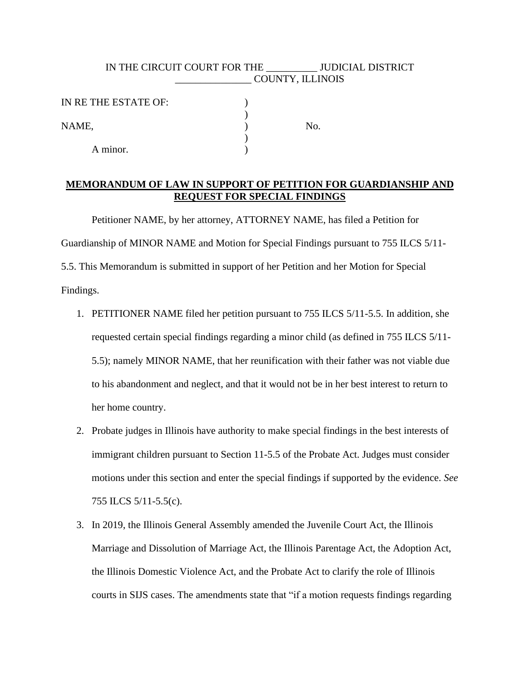## IN THE CIRCUIT COURT FOR THE JUDICIAL DISTRICT \_\_\_\_\_\_\_\_\_\_\_\_\_\_\_ COUNTY, ILLINOIS

| IN RE THE ESTATE OF: |     |
|----------------------|-----|
|                      |     |
| NAME,                | No. |
|                      |     |
| A minor.             |     |

## **MEMORANDUM OF LAW IN SUPPORT OF PETITION FOR GUARDIANSHIP AND REQUEST FOR SPECIAL FINDINGS**

Petitioner NAME, by her attorney, ATTORNEY NAME, has filed a Petition for Guardianship of MINOR NAME and Motion for Special Findings pursuant to 755 ILCS 5/11- 5.5. This Memorandum is submitted in support of her Petition and her Motion for Special Findings.

- 1. PETITIONER NAME filed her petition pursuant to 755 ILCS 5/11-5.5. In addition, she requested certain special findings regarding a minor child (as defined in 755 ILCS 5/11- 5.5); namely MINOR NAME, that her reunification with their father was not viable due to his abandonment and neglect, and that it would not be in her best interest to return to her home country.
- 2. Probate judges in Illinois have authority to make special findings in the best interests of immigrant children pursuant to Section 11-5.5 of the Probate Act. Judges must consider motions under this section and enter the special findings if supported by the evidence. *See* 755 ILCS 5/11-5.5(c).
- 3. In 2019, the Illinois General Assembly amended the Juvenile Court Act, the Illinois Marriage and Dissolution of Marriage Act, the Illinois Parentage Act, the Adoption Act, the Illinois Domestic Violence Act, and the Probate Act to clarify the role of Illinois courts in SIJS cases. The amendments state that "if a motion requests findings regarding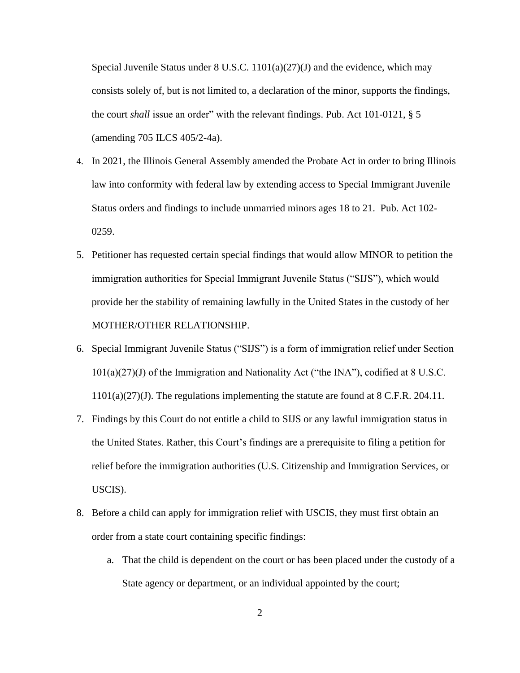Special Juvenile Status under  $8 \text{ U.S.C. } 1101(a)(27)(J)$  and the evidence, which may consists solely of, but is not limited to, a declaration of the minor, supports the findings, the court *shall* issue an order" with the relevant findings. Pub. Act 101-0121, § 5 (amending 705 ILCS 405/2-4a).

- 4. In 2021, the Illinois General Assembly amended the Probate Act in order to bring Illinois law into conformity with federal law by extending access to Special Immigrant Juvenile Status orders and findings to include unmarried minors ages 18 to 21. Pub. Act 102- 0259.
- 5. Petitioner has requested certain special findings that would allow MINOR to petition the immigration authorities for Special Immigrant Juvenile Status ("SIJS"), which would provide her the stability of remaining lawfully in the United States in the custody of her MOTHER/OTHER RELATIONSHIP.
- 6. Special Immigrant Juvenile Status ("SIJS") is a form of immigration relief under Section  $101(a)(27)(J)$  of the Immigration and Nationality Act ("the INA"), codified at 8 U.S.C. 1101(a)(27)(J). The regulations implementing the statute are found at 8 C.F.R. 204.11.
- 7. Findings by this Court do not entitle a child to SIJS or any lawful immigration status in the United States. Rather, this Court's findings are a prerequisite to filing a petition for relief before the immigration authorities (U.S. Citizenship and Immigration Services, or USCIS).
- 8. Before a child can apply for immigration relief with USCIS, they must first obtain an order from a state court containing specific findings:
	- a. That the child is dependent on the court or has been placed under the custody of a State agency or department, or an individual appointed by the court;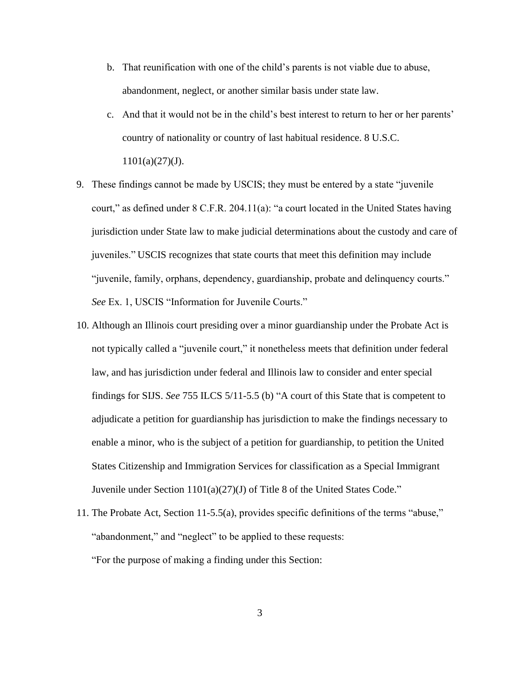- b. That reunification with one of the child's parents is not viable due to abuse, abandonment, neglect, or another similar basis under state law.
- c. And that it would not be in the child's best interest to return to her or her parents' country of nationality or country of last habitual residence. 8 U.S.C.  $1101(a)(27)(J)$ .
- 9. These findings cannot be made by USCIS; they must be entered by a state "juvenile court," as defined under 8 C.F.R. 204.11(a): "a court located in the United States having jurisdiction under State law to make judicial determinations about the custody and care of juveniles." USCIS recognizes that state courts that meet this definition may include "juvenile, family, orphans, dependency, guardianship, probate and delinquency courts." *See* Ex. 1, USCIS "Information for Juvenile Courts."
- 10. Although an Illinois court presiding over a minor guardianship under the Probate Act is not typically called a "juvenile court," it nonetheless meets that definition under federal law, and has jurisdiction under federal and Illinois law to consider and enter special findings for SIJS. *See* 755 ILCS 5/11-5.5 (b) "A court of this State that is competent to adjudicate a petition for guardianship has jurisdiction to make the findings necessary to enable a minor, who is the subject of a petition for guardianship, to petition the United States Citizenship and Immigration Services for classification as a Special Immigrant Juvenile under Section 1101(a)(27)(J) of Title 8 of the United States Code."
- 11. The Probate Act, Section 11-5.5(a), provides specific definitions of the terms "abuse," "abandonment," and "neglect" to be applied to these requests: "For the purpose of making a finding under this Section: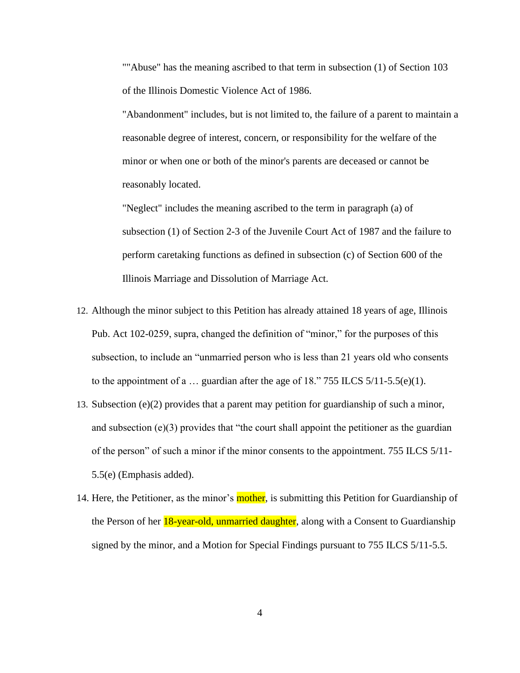""Abuse" has the meaning ascribed to that term in subsection (1) of Section 103 of the Illinois Domestic Violence Act of 1986.

"Abandonment" includes, but is not limited to, the failure of a parent to maintain a reasonable degree of interest, concern, or responsibility for the welfare of the minor or when one or both of the minor's parents are deceased or cannot be reasonably located.

"Neglect" includes the meaning ascribed to the term in paragraph (a) of subsection (1) of Section 2-3 of the Juvenile Court Act of 1987 and the failure to perform caretaking functions as defined in subsection (c) of Section 600 of the Illinois Marriage and Dissolution of Marriage Act.

- 12. Although the minor subject to this Petition has already attained 18 years of age, Illinois Pub. Act 102-0259, supra, changed the definition of "minor," for the purposes of this subsection, to include an "unmarried person who is less than 21 years old who consents to the appointment of a ... guardian after the age of 18." 755 ILCS  $5/11-5.5(e)(1)$ .
- 13. Subsection (e)(2) provides that a parent may petition for guardianship of such a minor, and subsection (e)(3) provides that "the court shall appoint the petitioner as the guardian of the person" of such a minor if the minor consents to the appointment. 755 ILCS 5/11- 5.5(e) (Emphasis added).
- 14. Here, the Petitioner, as the minor's **mother**, is submitting this Petition for Guardianship of the Person of her **18-year-old, unmarried daughter**, along with a Consent to Guardianship signed by the minor, and a Motion for Special Findings pursuant to 755 ILCS 5/11-5.5.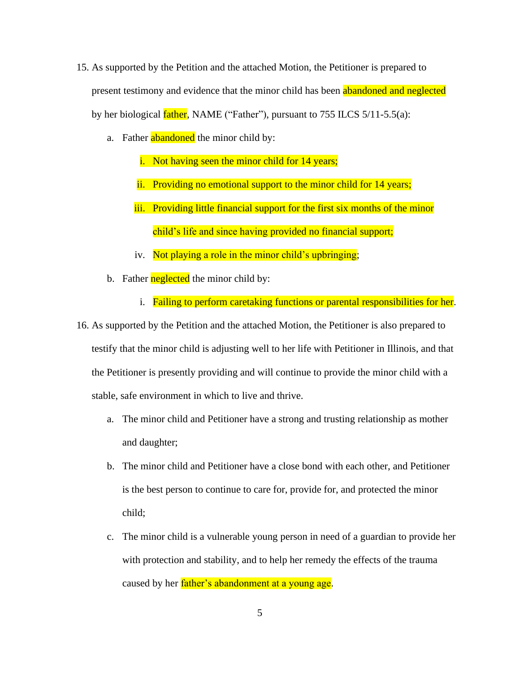- 15. As supported by the Petition and the attached Motion, the Petitioner is prepared to present testimony and evidence that the minor child has been abandoned and neglected by her biological  $father$ , NAME ("Father"), pursuant to 755 ILCS  $5/11-5.5(a)$ :
	- a. Father **abandoned** the minor child by:
		- i. Not having seen the minor child for 14 years;
		- ii. Providing no emotional support to the minor child for 14 years;
		- iii. Providing little financial support for the first six months of the minor child's life and since having provided no financial support;
		- iv. Not playing a role in the minor child's upbringing;
	- b. Father **neglected** the minor child by:
		- i. Failing to perform caretaking functions or parental responsibilities for her.
- 16. As supported by the Petition and the attached Motion, the Petitioner is also prepared to testify that the minor child is adjusting well to her life with Petitioner in Illinois, and that the Petitioner is presently providing and will continue to provide the minor child with a stable, safe environment in which to live and thrive.
	- a. The minor child and Petitioner have a strong and trusting relationship as mother and daughter;
	- b. The minor child and Petitioner have a close bond with each other, and Petitioner is the best person to continue to care for, provide for, and protected the minor child;
	- c. The minor child is a vulnerable young person in need of a guardian to provide her with protection and stability, and to help her remedy the effects of the trauma caused by her *father's abandonment at a young age*.